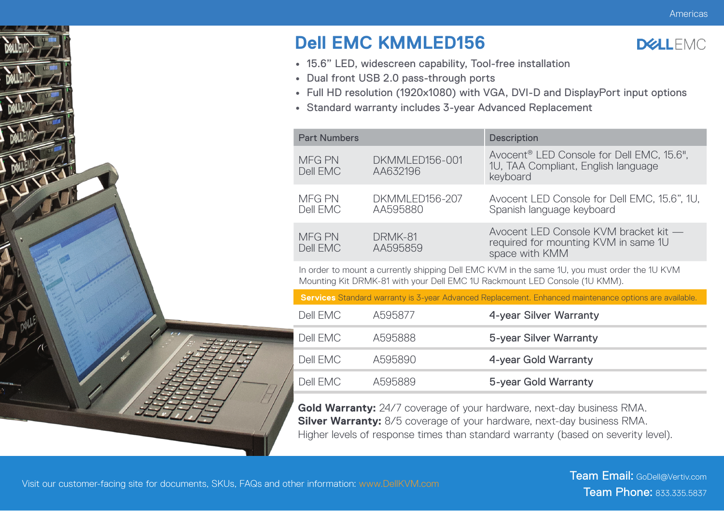## **Dell EMC KMMLED156**



- 15.6" LED, widescreen capability, Tool-free installation
- Dual front USB 2.0 pass-through ports
- Full HD resolution (1920x1080) with VGA, DVI-D and DisplayPort input options
- Standard warranty includes 3-year Advanced Replacement

| <b>Part Numbers</b>       |                            | <b>Description</b>                                                                                       |  |  |
|---------------------------|----------------------------|----------------------------------------------------------------------------------------------------------|--|--|
| <b>MFG PN</b><br>Dell EMC | DKMMLED156-001<br>AA632196 | Avocent <sup>®</sup> LED Console for Dell EMC, 15.6",<br>1U, TAA Compliant, English language<br>keyboard |  |  |
| MFG PN<br>Dell EMC        | DKMMLED156-207<br>AA595880 | Avocent LED Console for Dell EMC, 15.6", 1U,<br>Spanish language keyboard                                |  |  |
| <b>MFG PN</b><br>Dell EMC | DRMK-81<br>AA595859        | Avocent LED Console KVM bracket kit -<br>required for mounting KVM in same 1U<br>space with KMM          |  |  |

In order to mount a currently shipping Dell EMC KVM in the same 1U, you must order the 1U KVM Mounting Kit DRMK-81 with your Dell EMC 1U Rackmount LED Console (1U KMM).

**Services** Standard warranty is 3-year Advanced Replacement. Enhanced maintenance options are available.

| Dell FMC. | A595877 | 4-year Silver Warranty |
|-----------|---------|------------------------|
| Dell FMC. | A595888 | 5-year Silver Warranty |
| Dell EMC  | A595890 | 4-year Gold Warranty   |
| Dell EMC  | A595889 | 5-year Gold Warranty   |

**Gold Warranty:** 24/7 coverage of your hardware, next-day business RMA. **Silver Warranty:** 8/5 coverage of your hardware, next-day business RMA. Higher levels of response times than standard warranty (based on severity level).